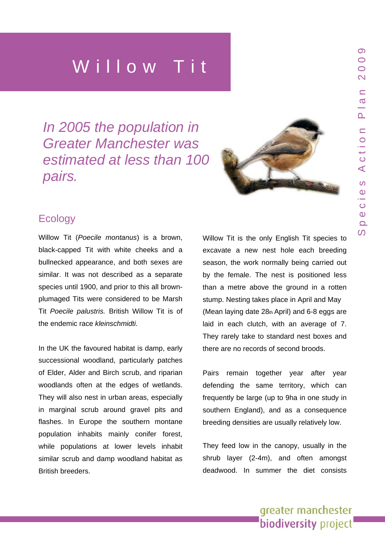*In 2005 the population in Greater Manchester was estimated at less than 100 pairs.* 



# **Ecology**

Willow Tit (*Poecile montanus*) is a brown, black-capped Tit with white cheeks and a bullnecked appearance, and both sexes are similar. It was not described as a separate species until 1900, and prior to this all brownplumaged Tits were considered to be Marsh Tit *Poecile palustris.* British Willow Tit is of the endemic race *kleinschmidti.* 

In the UK the favoured habitat is damp, early successional woodland, particularly patches of Elder, Alder and Birch scrub, and riparian woodlands often at the edges of wetlands. They will also nest in urban areas, especially in marginal scrub around gravel pits and flashes. In Europe the southern montane population inhabits mainly conifer forest, while populations at lower levels inhabit similar scrub and damp woodland habitat as British breeders.

Willow Tit is the only English Tit species to excavate a new nest hole each breeding season, the work normally being carried out by the female. The nest is positioned less than a metre above the ground in a rotten stump. Nesting takes place in April and May (Mean laying date 28th April) and 6-8 eggs are laid in each clutch, with an average of 7. They rarely take to standard nest boxes and there are no records of second broods.

Pairs remain together year after year defending the same territory, which can frequently be large (up to 9ha in one study in southern England), and as a consequence breeding densities are usually relatively low.

They feed low in the canopy, usually in the shrub layer (2-4m), and often amongst deadwood. In summer the diet consists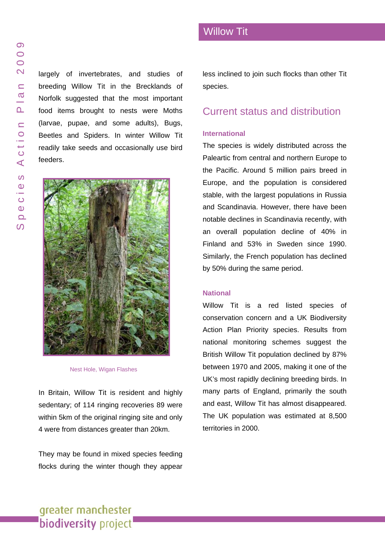largely of invertebrates, and studies of breeding Willow Tit in the Brecklands of Norfolk suggested that the most important food items brought to nests were Moths (larvae, pupae, and some adults), Bugs, Beetles and Spiders. In winter Willow Tit readily take seeds and occasionally use bird feeders.



Nest Hole, Wigan Flashes

In Britain, Willow Tit is resident and highly sedentary; of 114 ringing recoveries 89 were within 5km of the original ringing site and only 4 were from distances greater than 20km.

They may be found in mixed species feeding flocks during the winter though they appear

less inclined to join such flocks than other Tit species.

### Current status and distribution

### **International**

The species is widely distributed across the Paleartic from central and northern Europe to the Pacific. Around 5 million pairs breed in Europe, and the population is considered stable, with the largest populations in Russia and Scandinavia. However, there have been notable declines in Scandinavia recently, with an overall population decline of 40% in Finland and 53% in Sweden since 1990. Similarly, the French population has declined by 50% during the same period.

#### **National**

Willow Tit is a red listed species of conservation concern and a UK Biodiversity Action Plan Priority species. Results from national monitoring schemes suggest the British Willow Tit population declined by 87% between 1970 and 2005, making it one of the UK's most rapidly declining breeding birds. In many parts of England, primarily the south and east, Willow Tit has almost disappeared. The UK population was estimated at 8,500 territories in 2000.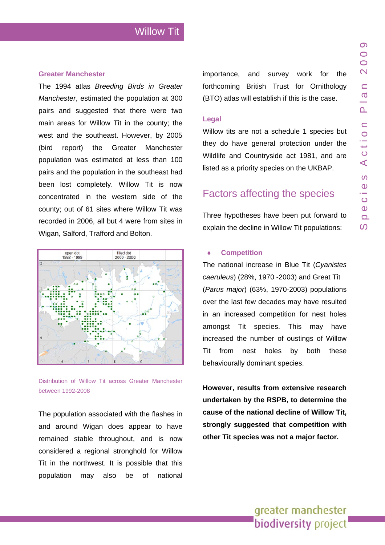### **Greater Manchester**

The 1994 atlas *Breeding Birds in Greater Manchester*, estimated the population at 300 pairs and suggested that there were two main areas for Willow Tit in the county; the west and the southeast. However, by 2005 (bird report) the Greater Manchester population was estimated at less than 100 pairs and the population in the southeast had been lost completely. Willow Tit is now concentrated in the western side of the county; out of 61 sites where Willow Tit was recorded in 2006, all but 4 were from sites in Wigan, Salford, Trafford and Bolton.



Distribution of Willow Tit across Greater Manchester between 1992-2008

The population associated with the flashes in and around Wigan does appear to have remained stable throughout, and is now considered a regional stronghold for Willow Tit in the northwest. It is possible that this population may also be of national importance, and survey work for the forthcoming British Trust for Ornithology (BTO) atlas will establish if this is the case.

#### **Legal**

Willow tits are not a schedule 1 species but they do have general protection under the Wildlife and Countryside act 1981, and are listed as a priority species on the UKBAP.

# Factors affecting the species

Three hypotheses have been put forward to explain the decline in Willow Tit populations:

### **Competition**

The national increase in Blue Tit (*Cyanistes caeruleus*) (28%, 1970 -2003) and Great Tit (*Parus major*) (63%, 1970-2003) populations over the last few decades may have resulted in an increased competition for nest holes amongst Tit species. This may have increased the number of oustings of Willow Tit from nest holes by both these behaviourally dominant species.

**However, results from extensive research undertaken by the RSPB, to determine the cause of the national decline of Willow Tit, strongly suggested that competition with other Tit species was not a major factor.**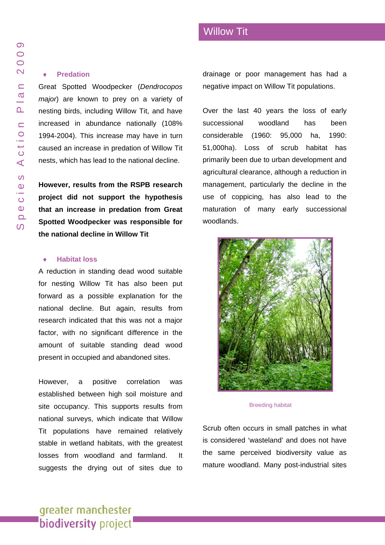#### **Predation**

Great Spotted Woodpecker (*Dendrocopos major*) are known to prey on a variety of nesting birds, including Willow Tit, and have increased in abundance nationally (108% 1994-2004). This increase may have in turn caused an increase in predation of Willow Tit nests, which has lead to the national decline.

**However, results from the RSPB research project did not support the hypothesis that an increase in predation from Great Spotted Woodpecker was responsible for the national decline in Willow Tit** 

### **Habitat loss**

A reduction in standing dead wood suitable for nesting Willow Tit has also been put forward as a possible explanation for the national decline. But again, results from research indicated that this was not a major factor, with no significant difference in the amount of suitable standing dead wood present in occupied and abandoned sites.

However, a positive correlation was established between high soil moisture and site occupancy. This supports results from national surveys, which indicate that Willow Tit populations have remained relatively stable in wetland habitats, with the greatest losses from woodland and farmland. It suggests the drying out of sites due to drainage or poor management has had a negative impact on Willow Tit populations.

Over the last 40 years the loss of early successional woodland has been considerable (1960: 95,000 ha, 1990: 51,000ha). Loss of scrub habitat has primarily been due to urban development and agricultural clearance, although a reduction in management, particularly the decline in the use of coppicing, has also lead to the maturation of many early successional woodlands.



Breeding habitat

Scrub often occurs in small patches in what is considered 'wasteland' and does not have the same perceived biodiversity value as mature woodland. Many post-industrial sites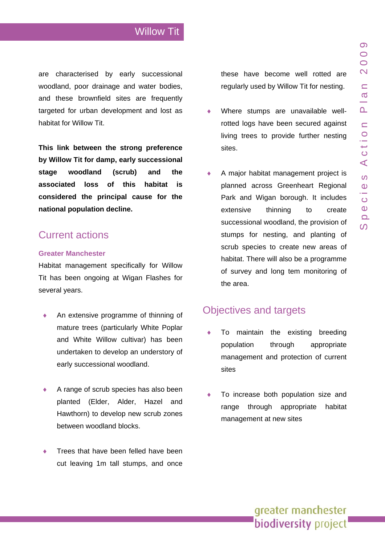are characterised by early successional woodland, poor drainage and water bodies, and these brownfield sites are frequently targeted for urban development and lost as habitat for Willow Tit.

**considered the principal cause for the ational population decline. n This link between the strong preference by Willow Tit for damp, early successional stage woodland (scrub) and the associated loss of this habitat is**

# Current actions

### **Greater Manchester**

Tit has been ongoing at Wigan Flashes for several years. Habitat management specifically for Willow

- ♦ undertaken to develop an understory of early successional woodland. An extensive programme of thinning of mature trees (particularly White Poplar and White Willow cultivar) has been
- ♦ Hawthorn) to develop new scrub zones between woodland blocks. A range of scrub species has also been planted (Elder, Alder, Hazel and
- ♦ Trees that have been felled have been cut leaving 1m tall stumps, and once

these have become well rotted are regularly used by Willow Tit for nesting.

- ♦ rotted logs have been secured against living trees to provide further nesting Where stumps are unavailable wellsites.
- ♦ habitat. There will also be a programme of survey and long tem monitoring of A major habitat management project is planned across Greenheart Regional Park and Wigan borough. It includes extensive thinning to create successional woodland, the provision of stumps for nesting, and planting of scrub species to create new areas of the area.

# Objectives and targets

- ♦ through appropriate management and protection of current To maintain the existing breeding popula sites
- $\bullet$  To increase both population size and range through appropriate habitat management at new sites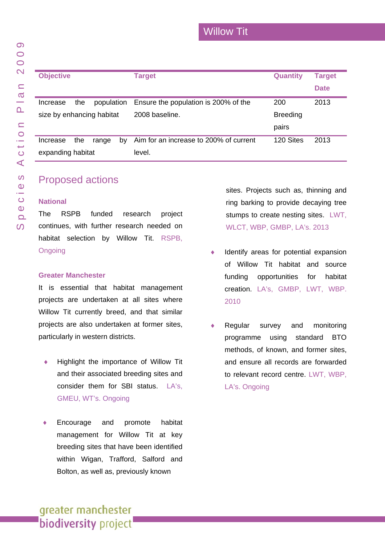| <b>Objective</b>          |            |    | <b>Target</b>                          | <b>Quantity</b> | <b>Target</b> |
|---------------------------|------------|----|----------------------------------------|-----------------|---------------|
|                           |            |    |                                        |                 | <b>Date</b>   |
| the<br>Increase           | population |    | Ensure the population is 200% of the   | 200             | 2013          |
| size by enhancing habitat |            |    | 2008 baseline.                         | <b>Breeding</b> |               |
|                           |            |    |                                        | pairs           |               |
| the<br>Increase           | range      | by | Aim for an increase to 200% of current | 120 Sites       | 2013          |
| expanding habitat         |            |    | level.                                 |                 |               |

# Proposed actions

### **National**

The RSPB funded research project continues, with further research needed on habitat selection by Willow Tit. RSPB, **Ongoing** 

### **Greater Manchester**

It is essential that habitat management projects are undertaken at all sites where Willow Tit currently breed, and that similar projects are also undertaken at former sites, particularly in western districts.

- Highlight the importance of Willow Tit and their associated breeding sites and consider them for SBI status. LA's, GMEU, WT's. Ongoing
- Encourage and promote habitat management for Willow Tit at key breeding sites that have been identified within Wigan, Trafford, Salford and Bolton, as well as, previously known

sites. Projects such as, thinning and ring barking to provide decaying tree stumps to create nesting sites. LWT, WLCT, WBP, GMBP, LA's. 2013

- ♦ Identify areas for potential expansion of Willow Tit habitat and source funding opportunities for habitat creation. LA's, GMBP, LWT, WBP. 2010
- Regular survey and monitoring programme using standard BTO methods, of known, and former sites, and ensure all records are forwarded to relevant record centre. LWT, WBP, LA's. Ongoing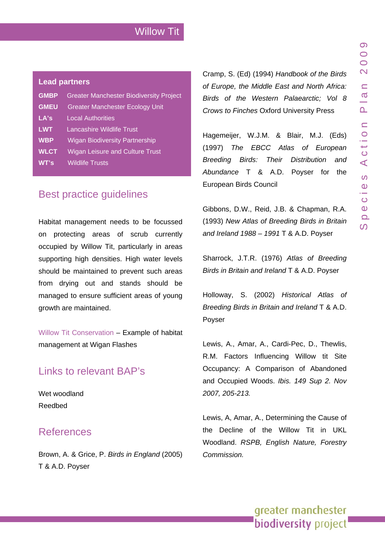### **Lead partners**

| <b>GMBP</b> | <b>Greater Manchester Biodiversity Project</b> |  |
|-------------|------------------------------------------------|--|
| <b>GMEU</b> | <b>Greater Manchester Ecology Unit</b>         |  |
| LA's        | <b>Local Authorities</b>                       |  |
| <b>LWT</b>  | Lancashire Wildlife Trust                      |  |
| <b>WBP</b>  | <b>Wigan Biodiversity Partnership</b>          |  |
| <b>WLCT</b> | <b>Wigan Leisure and Culture Trust</b>         |  |
| WT's        | <b>Wildlife Trusts</b>                         |  |

### Best practice quidelines

Habitat management needs to be focussed on protecting areas of scrub currently occupied by Willow Tit, particularly in areas supporting high densities. High water levels should be maintained to prevent such areas from drying out and stands should be managed to ensure sufficient areas of young growth are maintained.

[Willow Tit Conservation](http://209.85.229.132/search?q=cache:Qln1Ku8TReUJ:www.wiganflashes.org/web/index2.php%3Foption%3Dcontent%26do_pdf%3D1%26id%3D12+http://www.wiganflashes.org/web/index2.php%3Foption%3Dcontent%26do_pdf%3D1%26id%3D12&hl=en&ct=clnk&cd=1&gl=uk) – Example of habitat management at Wigan Flashes

### Links to relevant BAP's

[Wet woodland](www.gmbp.org.uk/site/images/stories/native woodland bap_09.pdf)  [Reedbed](www.gmbp.org.uk/site/images/stories/reedbeds & bittern bap_09.pdf)

# References

Brown, A. & Grice, P. *Birds in England* (2005) T & A.D. Poyser

Cramp, S. (Ed) (1994) *Handbook of the Birds of Europe, the Middle East and North Africa: Birds of the Western Palaearctic; Vol 8 Crows to Finches* Oxford University Press

Hagemeijer, W.J.M. & Blair, M.J. (Eds) (1997) *The EBCC Atlas of European Breeding Birds: Their Distribution and Abundance* T & A.D. Poyser for the European Birds Council

Gibbons, D.W., Reid, J.B. & Chapman, R.A. (1993) *New Atlas of Breeding Birds in Britain and Ireland 1988 – 1991* T & A.D. Poyser

Sharrock, J.T.R. (1976) *Atlas of Breeding Birds in Britain and Ireland* T & A.D. Poyser

Holloway, S. (2002) *Historical Atlas of Breeding Birds in Britain and Ireland* T & A.D. **Povser** 

Lewis, A., Amar, A., Cardi-Pec, D., Thewlis, R.M. Factors Influencing Willow tit Site Occupancy: A Comparison of Abandoned and Occupied Woods. *Ibis. 149 Sup 2. Nov 2007, 205-213.* 

Lewis, A, Amar, A., Determining the Cause of the Decline of the Willow Tit in UKL Woodland. *RSPB, English Nature, Forestry Commission.*